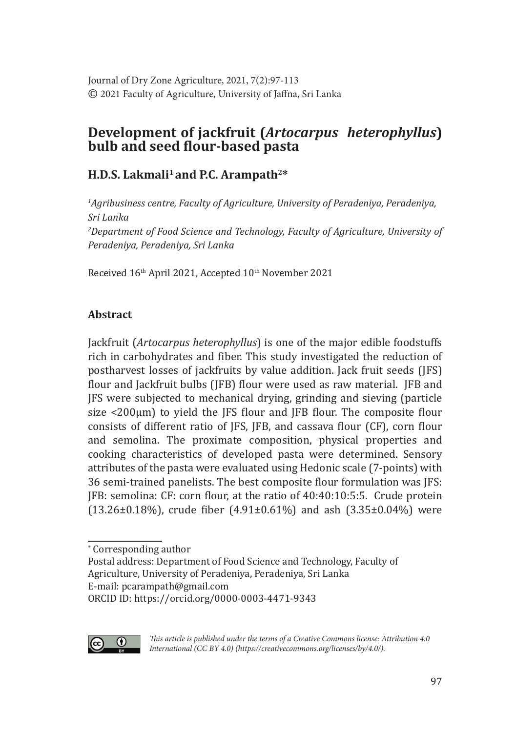Journal of Dry Zone Agriculture, 2021, 7(2):97-113 © 2021 Faculty of Agriculture, University of Jaffna, Sri Lanka

# **Development of jackfruit (***Artocarpus heterophyllus***) bulb and seed flour-based pasta**

# **H.D.S. Lakmali1 and P.C. Arampath2\***

*1 Agribusiness centre, Faculty of Agriculture, University of Peradeniya, Peradeniya, Sri Lanka 2 Department of Food Science and Technology, Faculty of Agriculture, University of Peradeniya, Peradeniya, Sri Lanka*

Received 16<sup>th</sup> April 2021, Accepted 10<sup>th</sup> November 2021

# **Abstract**

Jackfruit (*Artocarpus heterophyllus*) is one of the major edible foodstuffs rich in carbohydrates and fiber. This study investigated the reduction of postharvest losses of jackfruits by value addition. Jack fruit seeds (JFS) flour and Jackfruit bulbs (JFB) flour were used as raw material. JFB and JFS were subjected to mechanical drying, grinding and sieving (particle size  $\langle 200 \mu m \rangle$  to yield the JFS flour and JFB flour. The composite flour consists of different ratio of JFS, JFB, and cassava flour (CF), corn flour and semolina. The proximate composition, physical properties and cooking characteristics of developed pasta were determined. Sensory attributes of the pasta were evaluated using Hedonic scale (7-points) with 36 semi-trained panelists. The best composite flour formulation was JFS: JFB: semolina: CF: corn flour, at the ratio of 40:40:10:5:5. Crude protein  $(13.26\pm0.18\%)$ , crude fiber  $(4.91\pm0.61\%)$  and ash  $(3.35\pm0.04\%)$  were

ORCID ID: https://orcid.org/0000-0003-4471-9343



*This article is published under the terms of a Creative Commons license: Attribution 4.0 International (CC BY 4.0) (https://creativecommons.org/licenses/by/4.0/).*

<sup>∗</sup> Corresponding author

Postal address: Department of Food Science and Technology, Faculty of Agriculture, University of Peradeniya, Peradeniya, Sri Lanka

E-mail: pcarampath@gmail.com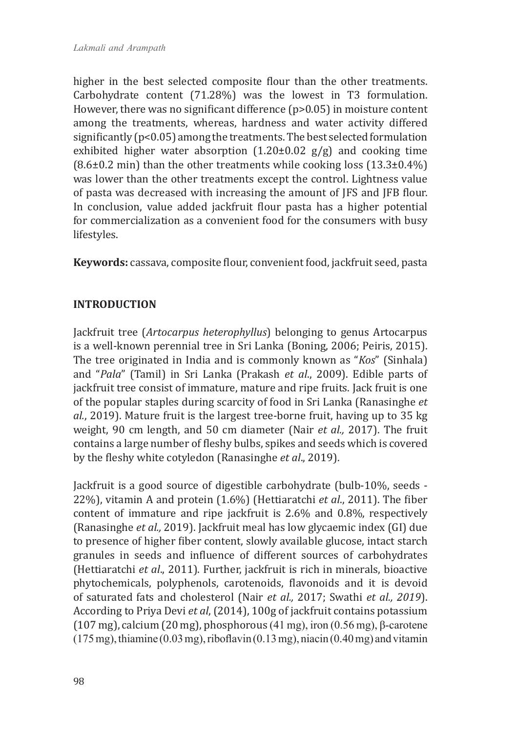higher in the best selected composite flour than the other treatments. Carbohydrate content (71.28%) was the lowest in T3 formulation. However, there was no significant difference (p>0.05) in moisture content among the treatments, whereas, hardness and water activity differed significantly (p<0.05) among the treatments. The best selected formulation exhibited higher water absorption  $(1.20\pm0.02 \text{ g/g})$  and cooking time  $(8.6\pm0.2 \text{ min})$  than the other treatments while cooking loss  $(13.3\pm0.4\%)$ was lower than the other treatments except the control. Lightness value of pasta was decreased with increasing the amount of JFS and JFB flour. In conclusion, value added jackfruit flour pasta has a higher potential for commercialization as a convenient food for the consumers with busy lifestyles.

**Keywords:** cassava, composite flour, convenient food, jackfruit seed, pasta

# **INTRODUCTION**

Jackfruit tree (*Artocarpus heterophyllus*) belonging to genus Artocarpus is a well-known perennial tree in Sri Lanka (Boning, 2006; Peiris, 2015). The tree originated in India and is commonly known as "*Kos*" (Sinhala) and "*Pala*" (Tamil) in Sri Lanka (Prakash *et al*., 2009). Edible parts of jackfruit tree consist of immature, mature and ripe fruits. Jack fruit is one of the popular staples during scarcity of food in Sri Lanka (Ranasinghe *et al.*, 2019). Mature fruit is the largest tree-borne fruit, having up to 35 kg weight, 90 cm length, and 50 cm diameter (Nair *et al.,* 2017). The fruit contains a large number of fleshy bulbs, spikes and seeds which is covered by the fleshy white cotyledon (Ranasinghe *et al*., 2019).

Jackfruit is a good source of digestible carbohydrate (bulb-10%, seeds - 22%), vitamin A and protein (1.6%) (Hettiaratchi *et al*., 2011). The fiber content of immature and ripe jackfruit is 2.6% and 0.8%, respectively (Ranasinghe *et al.,* 2019). Jackfruit meal has low glycaemic index (GI) due to presence of higher fiber content, slowly available glucose, intact starch granules in seeds and influence of different sources of carbohydrates (Hettiaratchi *et al*., 2011). Further, jackfruit is rich in minerals, bioactive phytochemicals, polyphenols, carotenoids, flavonoids and it is devoid of saturated fats and cholesterol (Nair *et al.,* 2017; Swathi *et al., 2019*). According to Priya Devi *et al*, (2014), 100g of jackfruit contains potassium (107 mg), calcium (20 mg), phosphorous (41 mg), iron (0.56 mg), β-carotene  $(175 \text{ mg})$ , thiamine  $(0.03 \text{ mg})$ , riboflavin  $(0.13 \text{ mg})$ , niacin  $(0.40 \text{ mg})$  and vitamin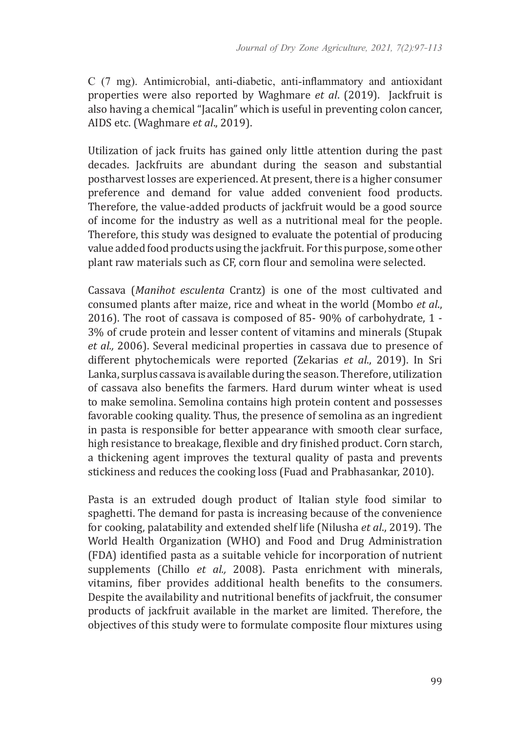C (7 mg). Antimicrobial, anti-diabetic, anti-inflammatory and antioxidant properties were also reported by Waghmare *et al*. (2019). Jackfruit is also having a chemical "Jacalin" which is useful in preventing colon cancer, AIDS etc. (Waghmare *et al*., 2019).

Utilization of jack fruits has gained only little attention during the past decades. Jackfruits are abundant during the season and substantial postharvest losses are experienced. At present, there is a higher consumer preference and demand for value added convenient food products. Therefore, the value-added products of jackfruit would be a good source of income for the industry as well as a nutritional meal for the people. Therefore, this study was designed to evaluate the potential of producing value added food products using the jackfruit. For this purpose, some other plant raw materials such as CF, corn flour and semolina were selected.

Cassava (*Manihot esculenta* Crantz) is one of the most cultivated and consumed plants after maize, rice and wheat in the world (Mombo *et al*., 2016). The root of cassava is composed of 85- 90% of carbohydrate, 1 - 3% of crude protein and lesser content of vitamins and minerals (Stupak *et al.,* 2006). Several medicinal properties in cassava due to presence of different phytochemicals were reported (Zekarias *et al*., 2019). In Sri Lanka, surplus cassava is available during the season. Therefore, utilization of cassava also benefits the farmers. Hard durum winter wheat is used to make semolina. Semolina contains high protein content and possesses favorable cooking quality. Thus, the presence of semolina as an ingredient in pasta is responsible for better appearance with smooth clear surface, high resistance to breakage, flexible and dry finished product. Corn starch, a thickening agent improves the textural quality of pasta and prevents stickiness and reduces the cooking loss (Fuad and Prabhasankar, 2010).

Pasta is an extruded dough product of Italian style food similar to spaghetti. The demand for pasta is increasing because of the convenience for cooking, palatability and extended shelf life (Nilusha *et al*., 2019). The World Health Organization (WHO) and Food and Drug Administration (FDA) identified pasta as a suitable vehicle for incorporation of nutrient supplements (Chillo *et al.,* 2008). Pasta enrichment with minerals, vitamins, fiber provides additional health benefits to the consumers. Despite the availability and nutritional benefits of jackfruit, the consumer products of jackfruit available in the market are limited. Therefore, the objectives of this study were to formulate composite flour mixtures using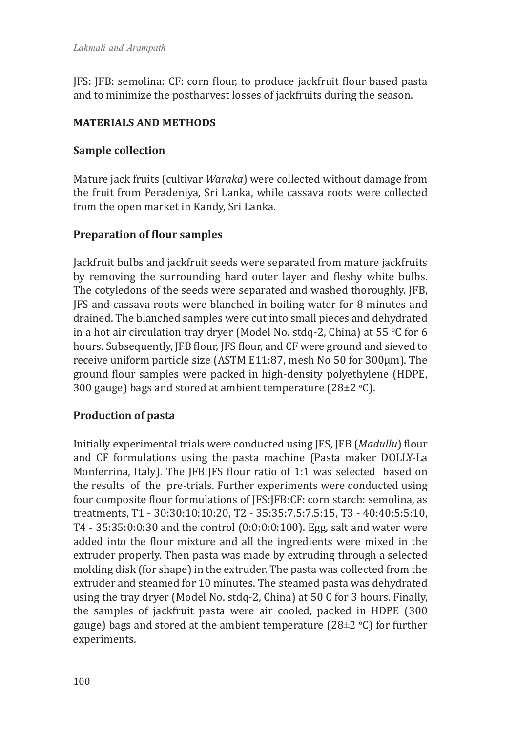JFS: JFB: semolina: CF: corn flour, to produce jackfruit flour based pasta and to minimize the postharvest losses of jackfruits during the season.

# **MATERIALS AND METHODS**

# **Sample collection**

Mature jack fruits (cultivar *Waraka*) were collected without damage from the fruit from Peradeniya, Sri Lanka, while cassava roots were collected from the open market in Kandy, Sri Lanka.

# **Preparation of flour samples**

Jackfruit bulbs and jackfruit seeds were separated from mature jackfruits by removing the surrounding hard outer layer and fleshy white bulbs. The cotyledons of the seeds were separated and washed thoroughly. JFB, JFS and cassava roots were blanched in boiling water for 8 minutes and drained. The blanched samples were cut into small pieces and dehydrated in a hot air circulation tray dryer (Model No. stdq-2, China) at 55 °C for 6 hours. Subsequently, JFB flour, JFS flour, and CF were ground and sieved to receive uniform particle size (ASTM E11:87, mesh No 50 for 300µm). The ground flour samples were packed in high-density polyethylene (HDPE, 300 gauge) bags and stored at ambient temperature (28±2 °C).

# **Production of pasta**

Initially experimental trials were conducted using JFS, JFB (*Madullu*) flour and CF formulations using the pasta machine (Pasta maker DOLLY-La Monferrina, Italy). The JFB:JFS flour ratio of 1:1 was selected based on the results of the pre-trials. Further experiments were conducted using four composite flour formulations of JFS:JFB:CF: corn starch: semolina, as treatments, T1 - 30:30:10:10:20, T2 - 35:35:7.5:7.5:15, T3 - 40:40:5:5:10, T4 - 35:35:0:0:30 and the control (0:0:0:0:100). Egg, salt and water were added into the flour mixture and all the ingredients were mixed in the extruder properly. Then pasta was made by extruding through a selected molding disk (for shape) in the extruder. The pasta was collected from the extruder and steamed for 10 minutes. The steamed pasta was dehydrated using the tray dryer (Model No. stdq-2, China) at 50 C for 3 hours. Finally, the samples of jackfruit pasta were air cooled, packed in HDPE (300 gauge) bags and stored at the ambient temperature (28 $\pm$ 2 °C) for further experiments.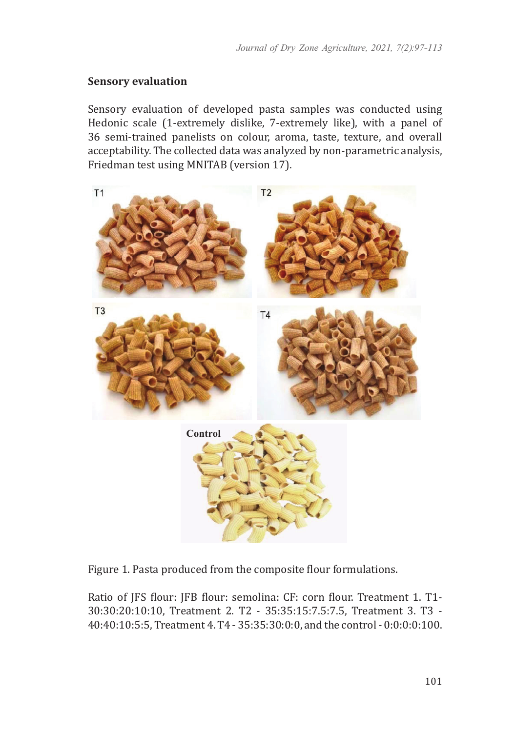#### **Sensory evaluation**

Sensory evaluation of developed pasta samples was conducted using Hedonic scale (1-extremely dislike, 7-extremely like), with a panel of 36 semi-trained panelists on colour, aroma, taste, texture, and overall acceptability. The collected data was analyzed by non-parametric analysis, Friedman test using MNITAB (version 17).



Figure 1. Pasta produced from the composite flour formulations.

Ratio of JFS flour: JFB flour: semolina: CF: corn flour. Treatment 1. T1- 30:30:20:10:10, Treatment 2. T2 - 35:35:15:7.5:7.5, Treatment 3. T3 - 40:40:10:5:5, Treatment 4. T4 - 35:35:30:0:0, and the control - 0:0:0:0:100.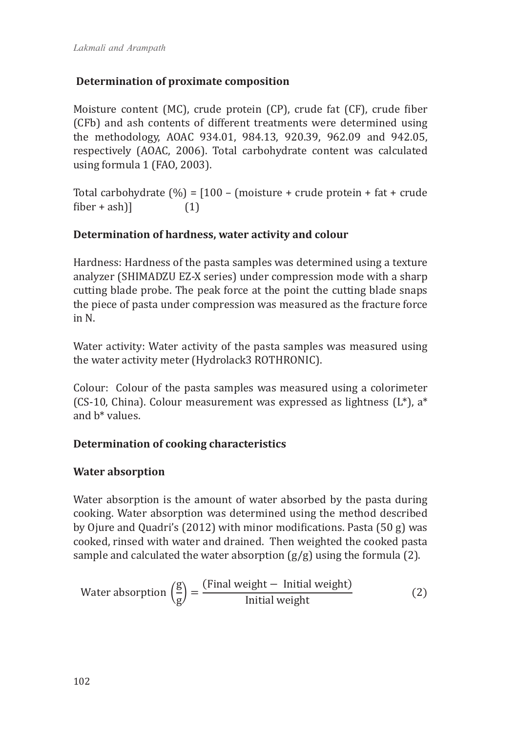# **Determination of proximate composition**

Moisture content (MC), crude protein (CP), crude fat (CF), crude fiber (CFb) and ash contents of different treatments were determined using the methodology, AOAC 934.01, 984.13, 920.39, 962.09 and 942.05, respectively (AOAC, 2006). Total carbohydrate content was calculated using formula 1 (FAO, 2003).

Total carbohydrate  $(\%) = [100 - (moisture + crude protein + fat + crude$  $fiber + ash)$ ] (1)

# **Determination of hardness, water activity and colour**

Hardness: Hardness of the pasta samples was determined using a texture analyzer (SHIMADZU EZ-X series) under compression mode with a sharp cutting blade probe. The peak force at the point the cutting blade snaps the piece of pasta under compression was measured as the fracture force in N.

Water activity: Water activity of the pasta samples was measured using the water activity meter (Hydrolack3 ROTHRONIC).

Colour: Colour of the pasta samples was measured using a colorimeter (CS-10, China). Colour measurement was expressed as lightness ( $L^*$ ),  $a^*$ and b\* values.

# **Determination of cooking characteristics**

# **Water absorption**

Water absorption is the amount of water absorbed by the pasta during cooking. Water absorption was determined using the method described by Ojure and Quadri's (2012) with minor modifications. Pasta (50 g) was cooked, rinsed with water and drained. Then weighted the cooked pasta sample and calculated the water absorption  $(g/g)$  using the formula (2).

Water absorption 
$$
\left(\frac{g}{g}\right) = \frac{\text{(Final weight - Initial weight)}}{\text{Initial weight}}
$$
 (2)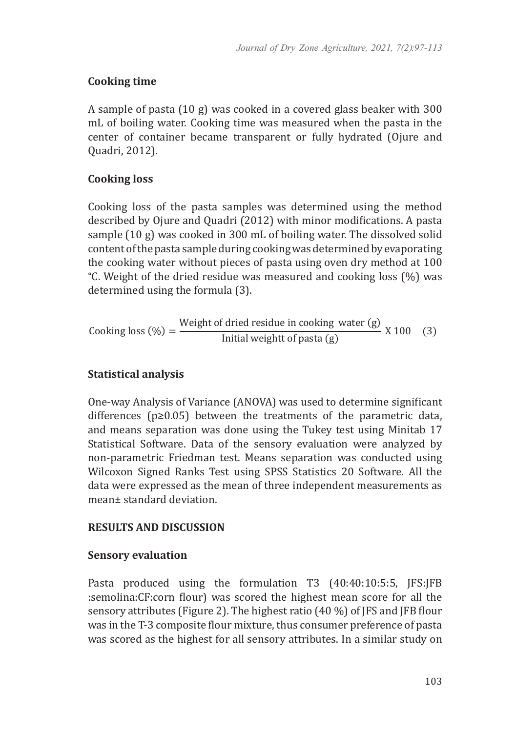# **Cooking time**

A sample of pasta (10 g) was cooked in a covered glass beaker with 300 mL of boiling water. Cooking time was measured when the pasta in the center of container became transparent or fully hydrated (Ojure and Quadri, 2012).

# **Cooking loss**

Cooking loss of the pasta samples was determined using the method described by Ojure and Quadri (2012) with minor modifications. A pasta sample (10 g) was cooked in 300 mL of boiling water. The dissolved solid content of the pasta sample during cooking was determined by evaporating the cooking water without pieces of pasta using oven dry method at 100 °C. Weight of the dried residue was measured and cooking loss (%) was determined using the formula (3).

$$
Looking loss (\%) = \frac{Weight of dried residue in cooking water (g)}{Initial weight of pasta (g)} \times 100 \quad (3)
$$

# **Statistical analysis**

One-way Analysis of Variance (ANOVA) was used to determine significant differences (p≥0.05) between the treatments of the parametric data, and means separation was done using the Tukey test using Minitab 17 Statistical Software. Data of the sensory evaluation were analyzed by non-parametric Friedman test. Means separation was conducted using Wilcoxon Signed Ranks Test using SPSS Statistics 20 Software. All the data were expressed as the mean of three independent measurements as mean± standard deviation.

# **RESULTS AND DISCUSSION**

# **Sensory evaluation**

Pasta produced using the formulation T3 (40:40:10:5:5, JFS:JFB :semolina:CF:corn flour) was scored the highest mean score for all the sensory attributes (Figure 2). The highest ratio (40 %) of JFS and JFB flour was in the T-3 composite flour mixture, thus consumer preference of pasta was scored as the highest for all sensory attributes. In a similar study on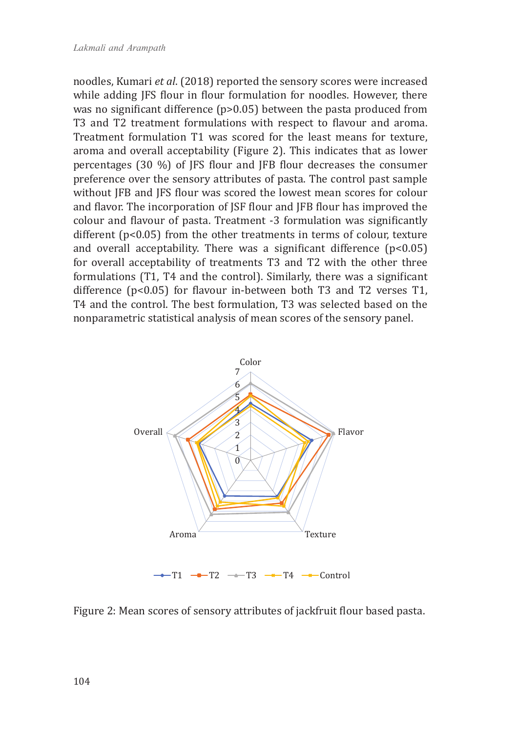noodles, Kumari *et al*. (2018) reported the sensory scores were increased while adding JFS flour in flour formulation for noodles. However, there was no significant difference (p>0.05) between the pasta produced from T3 and T2 treatment formulations with respect to flavour and aroma. Treatment formulation T1 was scored for the least means for texture, aroma and overall acceptability (Figure 2). This indicates that as lower percentages (30 %) of JFS flour and JFB flour decreases the consumer preference over the sensory attributes of pasta. The control past sample without JFB and JFS flour was scored the lowest mean scores for colour and flavor. The incorporation of JSF flour and JFB flour has improved the colour and flavour of pasta. Treatment -3 formulation was significantly different (p<0.05) from the other treatments in terms of colour, texture and overall acceptability. There was a significant difference  $(p<0.05)$ for overall acceptability of treatments T3 and T2 with the other three formulations (T1, T4 and the control). Similarly, there was a significant difference (p<0.05) for flavour in-between both T3 and T2 verses T1, T4 and the control. The best formulation, T3 was selected based on the nonparametric statistical analysis of mean scores of the sensory panel.



Figure 2: Mean scores of sensory attributes of jackfruit flour based pasta.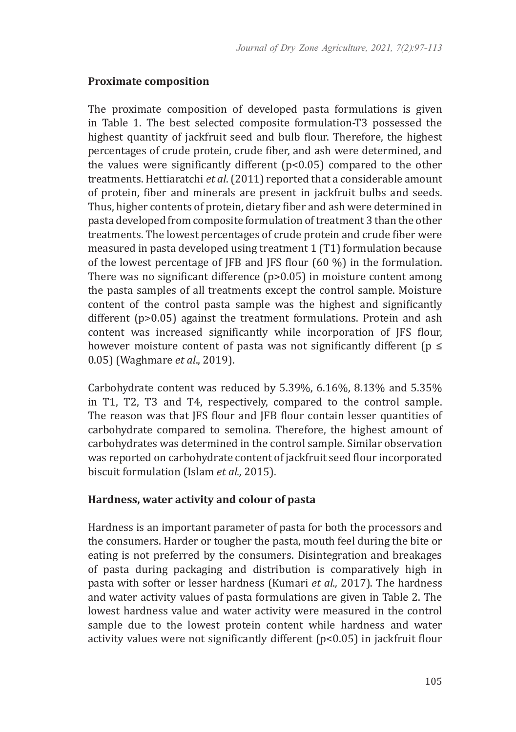#### **Proximate composition**

The proximate composition of developed pasta formulations is given in Table 1. The best selected composite formulation-T3 possessed the highest quantity of jackfruit seed and bulb flour. Therefore, the highest percentages of crude protein, crude fiber, and ash were determined, and the values were significantly different (p<0.05) compared to the other treatments. Hettiaratchi *et al*. (2011) reported that a considerable amount of protein, fiber and minerals are present in jackfruit bulbs and seeds. Thus, higher contents of protein, dietary fiber and ash were determined in pasta developed from composite formulation of treatment 3 than the other treatments. The lowest percentages of crude protein and crude fiber were measured in pasta developed using treatment 1 (T1) formulation because of the lowest percentage of JFB and JFS flour (60 %) in the formulation. There was no significant difference (p>0.05) in moisture content among the pasta samples of all treatments except the control sample. Moisture content of the control pasta sample was the highest and significantly different (p>0.05) against the treatment formulations. Protein and ash content was increased significantly while incorporation of JFS flour, however moisture content of pasta was not significantly different ( $p \le$ 0.05) (Waghmare *et al*., 2019).

Carbohydrate content was reduced by 5.39%, 6.16%, 8.13% and 5.35% in T1, T2, T3 and T4, respectively, compared to the control sample. The reason was that JFS flour and JFB flour contain lesser quantities of carbohydrate compared to semolina. Therefore, the highest amount of carbohydrates was determined in the control sample. Similar observation was reported on carbohydrate content of jackfruit seed flour incorporated biscuit formulation (Islam *et al.,* 2015).

# **Hardness, water activity and colour of pasta**

Hardness is an important parameter of pasta for both the processors and the consumers. Harder or tougher the pasta, mouth feel during the bite or eating is not preferred by the consumers. Disintegration and breakages of pasta during packaging and distribution is comparatively high in pasta with softer or lesser hardness (Kumari *et al.,* 2017). The hardness and water activity values of pasta formulations are given in Table 2. The lowest hardness value and water activity were measured in the control sample due to the lowest protein content while hardness and water activity values were not significantly different (p<0.05) in jackfruit flour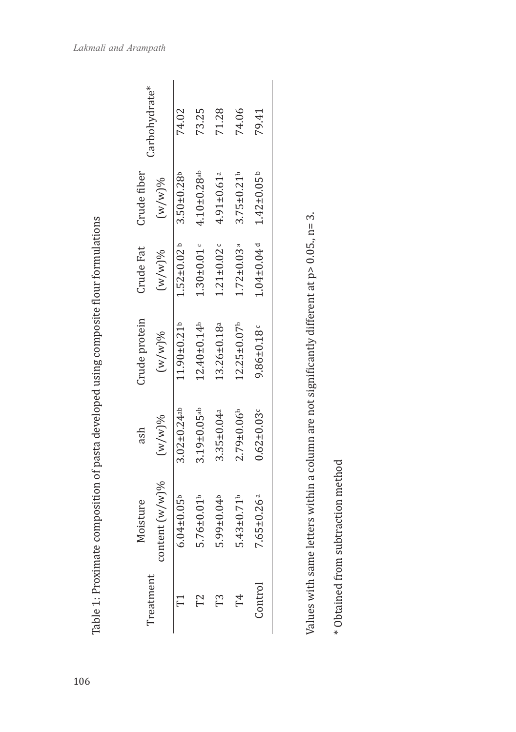|               | Carbohydrate*     |                               | 73.25                         | 71.28                        | 74.06                         | 79.41                        |  |
|---------------|-------------------|-------------------------------|-------------------------------|------------------------------|-------------------------------|------------------------------|--|
| Crude fiber   | $(w/w)$ %         | $3.50 \pm 0.28$               | $4.10 \pm 0.28$ ab            | $4.91 \pm 0.61$ <sup>a</sup> | $3.75 \pm 0.21$               | $1.42 \pm 0.05$              |  |
| Crude Fat     | $(M/w)$ %         | $1.52 \pm 0.02$ <sup>b</sup>  | $1.30 \pm 0.01$ c             | $1.21 \pm 0.02$              | $1.72 \pm 0.03$ <sup>a</sup>  | $1.04 \pm 0.04$ <sup>d</sup> |  |
| Crude protein | $(w/w)$ %         | 11.90±0.21b                   | $12.40 \pm 0.14$              | 13.26±0.18ª                  | $12.25 \pm 0.07$ <sup>b</sup> | $9.86 \pm 0.18$              |  |
| ash           | $(w/w)$ %         | $3.02 \pm 0.24$ <sup>ab</sup> | $3.19 \pm 0.05$ <sup>ab</sup> | $3.35 \pm 0.04a$             | $2.79 + 0.06$                 | $0.62 \pm 0.03$              |  |
| Moisture      | content $(w/w)\%$ | $6.04 \pm 0.05^{\circ}$       | $5.76 \pm 0.01$               | 5.99±0.04b                   | $5.43 \pm 0.71$               | $7.65 \pm 0.26$ a            |  |
|               | reatment          |                               |                               | T3                           | F4                            | Control                      |  |

Values with same letters within a column are not significantly different at p> 0.05., n= 3. Values with same letters within a column are not significantly different at p> 0.05., n= 3.

\* Obtained from subtraction method \* Obtained from subtraction method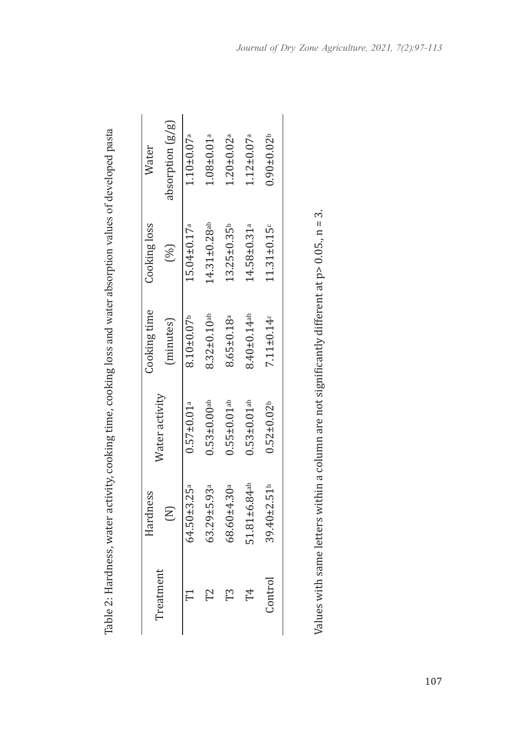| Water          | absorption $(g/g)$ | $1.10 \pm 0.07$ <sup>a</sup> | $1.08 + 0.01$ <sup>a</sup>    | $1.20 \pm 0.02$ <sup>a</sup>  | $1.12 \pm 0.07$ <sup>a</sup>  | $0.90 \pm 0.02$  |  |
|----------------|--------------------|------------------------------|-------------------------------|-------------------------------|-------------------------------|------------------|--|
| Cooking loss   | (96)               | 15.04±0.17 <sup>a</sup>      | 14.31±0.28 <sup>ab</sup>      | 13.25±0.35b                   | $14.58 \pm 0.31$ <sup>a</sup> | $11.31 \pm 0.15$ |  |
| Cooking time   | (minutes)          | $8.10 \pm 0.07$ <sup>b</sup> | $8.32 \pm 0.10$ <sup>ab</sup> | 8.65±0.18ª                    | 8.40±0.14ab                   | $7.11 \pm 0.14c$ |  |
| Water activity |                    | $0.57 \pm 0.01$ <sup>a</sup> | $0.53 \pm 0.00$ ab            | $0.55 \pm 0.01$ <sup>ab</sup> | $0.53 \pm 0.01$ <sup>ab</sup> | $0.52 \pm 0.02$  |  |
| Hardness       | $\epsilon$         | 64.50±3.25 <sup>a</sup>      | $63.29 + 5.93$ <sup>a</sup>   | 68.60±4.30ª                   | 51.81±6.84ab                  | 39.40±2.51b      |  |
| Treatment      |                    |                              | Γ2                            | 73                            | Т4                            | Control          |  |

Table 2: Hardness, water activity, cooking time, cooking loss and water absorption values of developed pasta Table 2: Hardness, water activity, cooking time, cooking loss and water absorption values of developed pasta

Values with same letters within a column are not significantly different at  $p > 0.05$ ,,  $n = 3$ . Values with same letters within a column are not significantly different at p> 0.05., n = 3.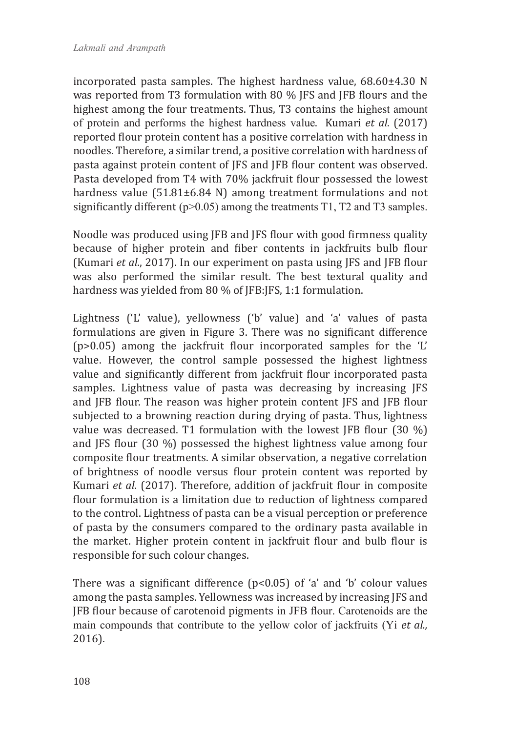incorporated pasta samples. The highest hardness value, 68.60±4.30 N was reported from T3 formulation with 80 % JFS and JFB flours and the highest among the four treatments. Thus, T3 contains the highest amount of protein and performs the highest hardness value. Kumari *et al*. (2017) reported flour protein content has a positive correlation with hardness in noodles. Therefore, a similar trend, a positive correlation with hardness of pasta against protein content of JFS and JFB flour content was observed. Pasta developed from T4 with 70% jackfruit flour possessed the lowest hardness value (51.81±6.84 N) among treatment formulations and not significantly different ( $p$ >0.05) among the treatments T1, T2 and T3 samples.

Noodle was produced using JFB and JFS flour with good firmness quality because of higher protein and fiber contents in jackfruits bulb flour (Kumari *et al*., 2017). In our experiment on pasta using JFS and JFB flour was also performed the similar result. The best textural quality and hardness was yielded from 80 % of JFB:JFS, 1:1 formulation.

Lightness ('L' value), yellowness ('b' value) and 'a' values of pasta formulations are given in Figure 3. There was no significant difference (p>0.05) among the jackfruit flour incorporated samples for the 'L' value. However, the control sample possessed the highest lightness value and significantly different from jackfruit flour incorporated pasta samples. Lightness value of pasta was decreasing by increasing JFS and JFB flour. The reason was higher protein content JFS and JFB flour subjected to a browning reaction during drying of pasta. Thus, lightness value was decreased. T1 formulation with the lowest JFB flour (30 %) and JFS flour (30 %) possessed the highest lightness value among four composite flour treatments. A similar observation, a negative correlation of brightness of noodle versus flour protein content was reported by Kumari *et al*. (2017). Therefore, addition of jackfruit flour in composite flour formulation is a limitation due to reduction of lightness compared to the control. Lightness of pasta can be a visual perception or preference of pasta by the consumers compared to the ordinary pasta available in the market. Higher protein content in jackfruit flour and bulb flour is responsible for such colour changes.

There was a significant difference  $(p<0.05)$  of 'a' and 'b' colour values among the pasta samples. Yellowness was increased by increasing JFS and JFB flour because of carotenoid pigments in JFB flour. Carotenoids are the main compounds that contribute to the yellow color of jackfruits (Yi *et al.,* 2016).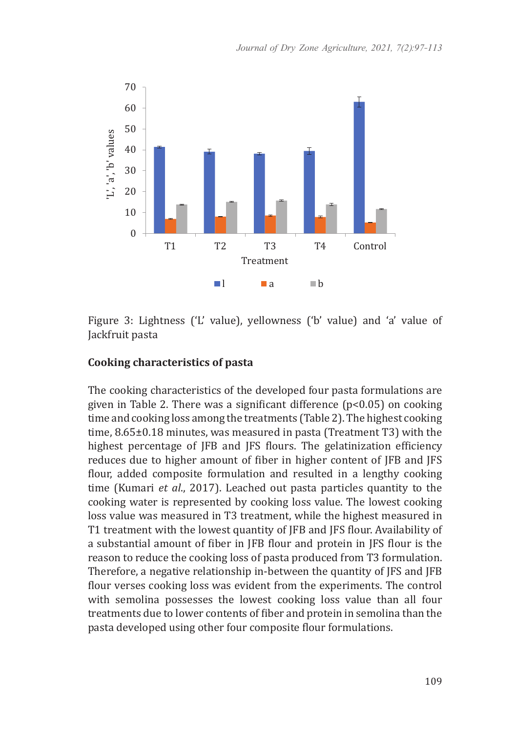

Figure 3: Lightness ('L' value), yellowness ('b' value) and 'a' value of Jackfruit pasta

#### **Cooking characteristics of pasta**

The cooking characteristics of the developed four pasta formulations are given in Table 2. There was a significant difference (p<0.05) on cooking time and cooking loss among the treatments (Table 2). The highest cooking time, 8.65±0.18 minutes, was measured in pasta (Treatment T3) with the highest percentage of JFB and JFS flours. The gelatinization efficiency reduces due to higher amount of fiber in higher content of JFB and JFS flour, added composite formulation and resulted in a lengthy cooking time (Kumari *et al*., 2017). Leached out pasta particles quantity to the cooking water is represented by cooking loss value. The lowest cooking loss value was measured in T3 treatment, while the highest measured in T1 treatment with the lowest quantity of JFB and JFS flour. Availability of a substantial amount of fiber in JFB flour and protein in JFS flour is the reason to reduce the cooking loss of pasta produced from T3 formulation. Therefore, a negative relationship in-between the quantity of JFS and JFB flour verses cooking loss was evident from the experiments. The control with semolina possesses the lowest cooking loss value than all four treatments due to lower contents of fiber and protein in semolina than the pasta developed using other four composite flour formulations.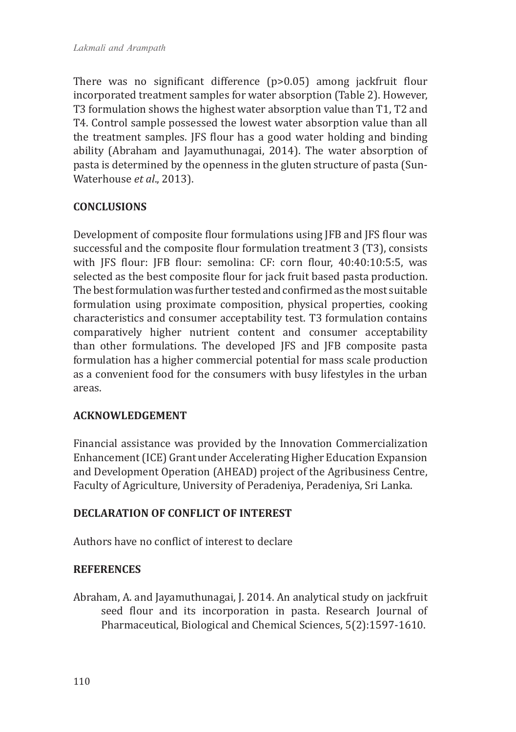There was no significant difference (p>0.05) among jackfruit flour incorporated treatment samples for water absorption (Table 2). However, T3 formulation shows the highest water absorption value than T1, T2 and T4. Control sample possessed the lowest water absorption value than all the treatment samples. JFS flour has a good water holding and binding ability (Abraham and Jayamuthunagai, 2014). The water absorption of pasta is determined by the openness in the gluten structure of pasta (Sun-Waterhouse *et al*., 2013).

# **CONCLUSIONS**

Development of composite flour formulations using JFB and JFS flour was successful and the composite flour formulation treatment 3 (T3), consists with JFS flour: JFB flour: semolina: CF: corn flour, 40:40:10:5:5, was selected as the best composite flour for jack fruit based pasta production. The best formulation was further tested and confirmed as the most suitable formulation using proximate composition, physical properties, cooking characteristics and consumer acceptability test. T3 formulation contains comparatively higher nutrient content and consumer acceptability than other formulations. The developed JFS and JFB composite pasta formulation has a higher commercial potential for mass scale production as a convenient food for the consumers with busy lifestyles in the urban areas.

# **ACKNOWLEDGEMENT**

Financial assistance was provided by the Innovation Commercialization Enhancement (ICE) Grant under Accelerating Higher Education Expansion and Development Operation (AHEAD) project of the Agribusiness Centre, Faculty of Agriculture, University of Peradeniya, Peradeniya, Sri Lanka.

# **DECLARATION OF CONFLICT OF INTEREST**

Authors have no conflict of interest to declare

#### **REFERENCES**

Abraham, A. and Jayamuthunagai, J. 2014. An analytical study on jackfruit seed flour and its incorporation in pasta. Research Journal of Pharmaceutical, Biological and Chemical Sciences, 5(2):1597-1610.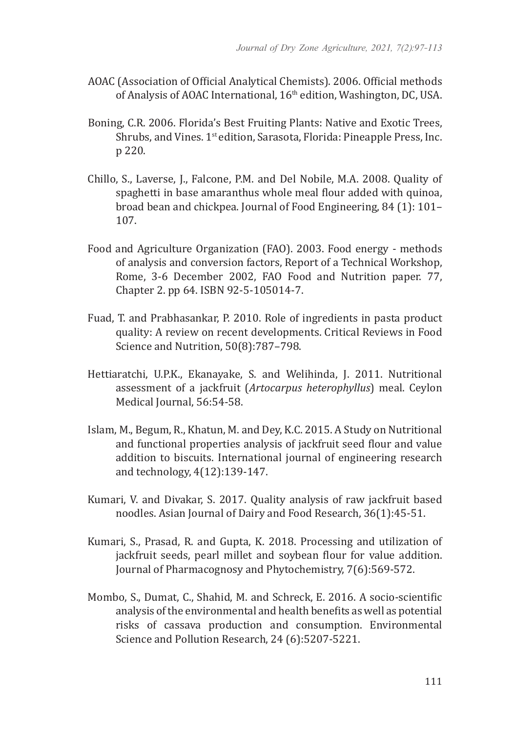- AOAC (Association of Official Analytical Chemists). 2006. Official methods of Analysis of AOAC International, 16<sup>th</sup> edition, Washington, DC, USA.
- Boning, C.R. 2006. Florida's Best Fruiting Plants: Native and Exotic Trees, Shrubs, and Vines. 1<sup>st</sup> edition, Sarasota, Florida: Pineapple Press, Inc. p 220.
- Chillo, S., Laverse, J., Falcone, P.M. and Del Nobile, M.A. 2008. Quality of spaghetti in base amaranthus whole meal flour added with quinoa, broad bean and chickpea. Journal of Food Engineering, 84 (1): 101– 107.
- Food and Agriculture Organization (FAO). 2003. Food energy methods of analysis and conversion factors, Report of a Technical Workshop, Rome, 3-6 December 2002, FAO Food and Nutrition paper. 77, Chapter 2. pp 64. ISBN 92-5-105014-7.
- Fuad, T. and Prabhasankar, P. 2010. Role of ingredients in pasta product quality: A review on recent developments. Critical Reviews in Food Science and Nutrition, 50(8):787–798.
- Hettiaratchi, U.P.K., Ekanayake, S. and Welihinda, J. 2011. Nutritional assessment of a jackfruit (*Artocarpus heterophyllus*) meal. Ceylon Medical Journal, 56:54-58.
- Islam, M., Begum, R., Khatun, M. and Dey, K.C. 2015. A Study on Nutritional and functional properties analysis of jackfruit seed flour and value addition to biscuits. International journal of engineering research and technology, 4(12):139-147.
- Kumari, V. and Divakar, S. 2017. Quality analysis of raw jackfruit based noodles. Asian Journal of Dairy and Food Research, 36(1):45-51.
- Kumari, S., Prasad, R. and Gupta, K. 2018. Processing and utilization of jackfruit seeds, pearl millet and soybean flour for value addition. Journal of Pharmacognosy and Phytochemistry, 7(6):569-572.
- Mombo, S., Dumat, C., Shahid, M. and Schreck, E. 2016. A socio-scientific analysis of the environmental and health benefits as well as potential risks of cassava production and consumption. Environmental Science and Pollution Research, 24 (6):5207-5221.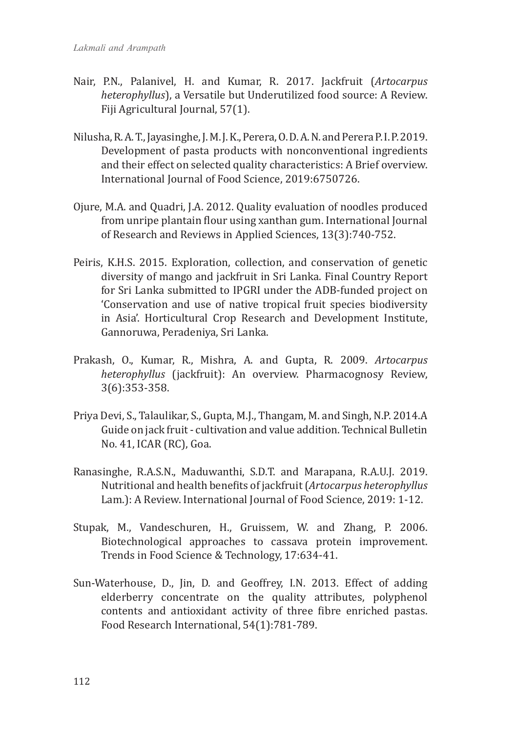- Nair, P.N., Palanivel, H. and Kumar, R. 2017. Jackfruit (*Artocarpus heterophyllus*), a Versatile but Underutilized food source: A Review. Fiji Agricultural Journal, 57(1).
- Nilusha, R. A. T., Jayasinghe, J. M. J. K., Perera, O. D. A. N. and Perera P. I. P. 2019. Development of pasta products with nonconventional ingredients and their effect on selected quality characteristics: A Brief overview. International Journal of Food Science, 2019:6750726.
- Ojure, M.A. and Quadri, J.A. 2012. Quality evaluation of noodles produced from unripe plantain flour using xanthan gum. International Journal of Research and Reviews in Applied Sciences, 13(3):740-752.
- Peiris, K.H.S. 2015. Exploration, collection, and conservation of genetic diversity of mango and jackfruit in Sri Lanka. Final Country Report for Sri Lanka submitted to IPGRI under the ADB-funded project on 'Conservation and use of native tropical fruit species biodiversity in Asia'. Horticultural Crop Research and Development Institute, Gannoruwa, Peradeniya, Sri Lanka.
- Prakash, O., Kumar, R., Mishra, A. and Gupta, R. 2009. *Artocarpus heterophyllus* (jackfruit): An overview. Pharmacognosy Review, 3(6):353-358.
- Priya Devi, S., Talaulikar, S., Gupta, M.J., Thangam, M. and Singh, N.P. 2014.A Guide on jack fruit - cultivation and value addition. Technical Bulletin No. 41, ICAR (RC), Goa.
- Ranasinghe, R.A.S.N., Maduwanthi, S.D.T. and Marapana, R.A.U.J. 2019. Nutritional and health benefits of jackfruit (*Artocarpus heterophyllus* Lam.): A Review. International Journal of Food Science, 2019: 1-12.
- Stupak, M., Vandeschuren, H., Gruissem, W. and Zhang, P. 2006. Biotechnological approaches to cassava protein improvement. Trends in Food Science & Technology, 17:634-41.
- Sun-Waterhouse, D., Jin, D. and Geoffrey, I.N. 2013. Effect of adding elderberry concentrate on the quality attributes, polyphenol contents and antioxidant activity of three fibre enriched pastas. Food Research International, 54(1):781-789.